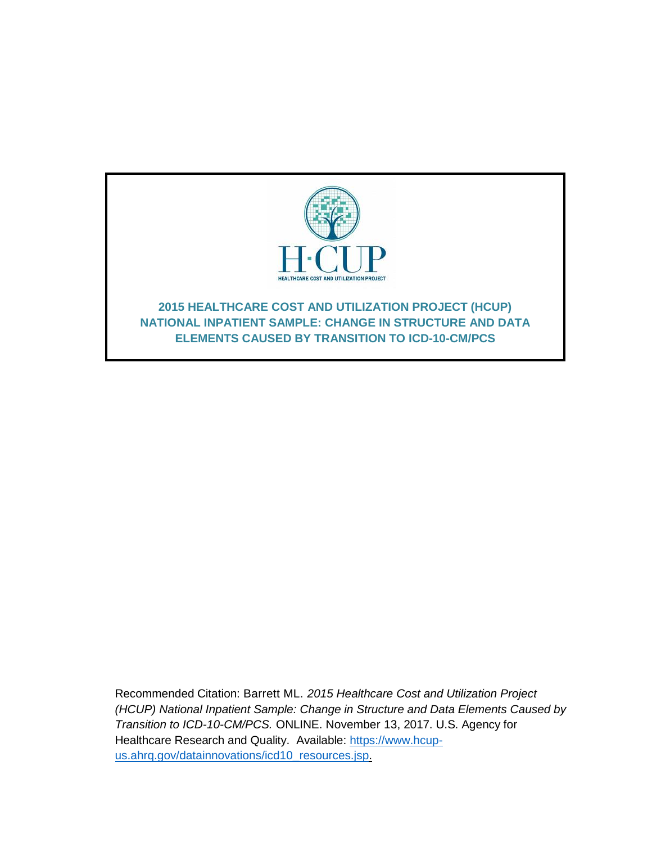

Recommended Citation: Barrett ML. *2015 Healthcare Cost and Utilization Project (HCUP) National Inpatient Sample: Change in Structure and Data Elements Caused by Transition to ICD-10-CM/PCS.* ONLINE. November 13, 2017. U.S. Agency for Healthcare Research and Quality. Available: [https://www.hcup](http://www.hcup-us.ahrq.gov/reports/methods/methods.jsp)[us.ahrq.gov/datainnovations/icd10\\_resources.jsp.](http://www.hcup-us.ahrq.gov/reports/methods/methods.jsp)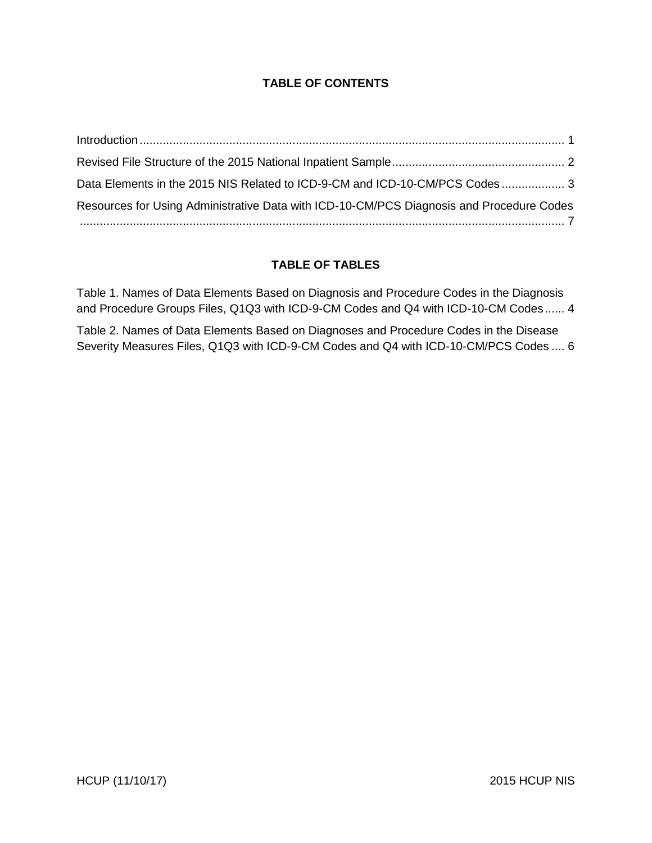## **TABLE OF CONTENTS**

| Data Elements in the 2015 NIS Related to ICD-9-CM and ICD-10-CM/PCS Codes 3              |  |
|------------------------------------------------------------------------------------------|--|
| Resources for Using Administrative Data with ICD-10-CM/PCS Diagnosis and Procedure Codes |  |
|                                                                                          |  |

#### **TABLE OF TABLES**

[Table 1. Names of Data Elements Based on Diagnosis and Procedure Codes in the Diagnosis](#page-5-0)  [and Procedure Groups Files, Q1Q3 with ICD-9-CM Codes and Q4 with ICD-10-CM Codes......](#page-5-0) 4

[Table 2. Names of Data Elements Based on Diagnoses and Procedure Codes in the Disease](#page-7-0)  [Severity Measures Files, Q1Q3 with ICD-9-CM Codes and Q4 with ICD-10-CM/PCS Codes](#page-7-0) .... 6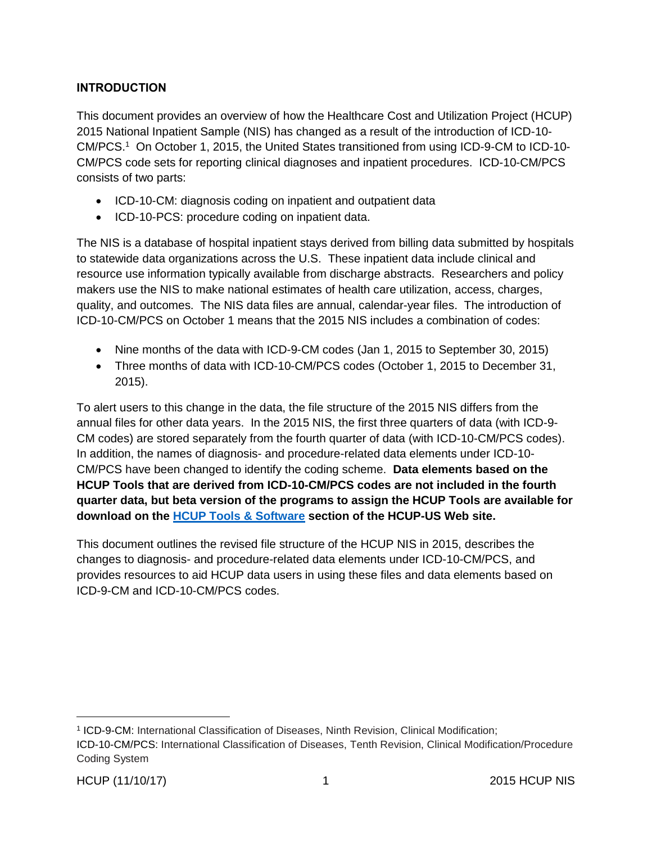## <span id="page-2-0"></span>**INTRODUCTION**

This document provides an overview of how the Healthcare Cost and Utilization Project (HCUP) 2015 National Inpatient Sample (NIS) has changed as a result of the introduction of ICD-10- CM/PCS. <sup>1</sup> On October 1, 2015, the United States transitioned from using ICD-9-CM to ICD-10- CM/PCS code sets for reporting clinical diagnoses and inpatient procedures. ICD-10-CM/PCS consists of two parts:

- ICD-10-CM: diagnosis coding on inpatient and outpatient data
- ICD-10-PCS: procedure coding on inpatient data.

The NIS is a database of hospital inpatient stays derived from billing data submitted by hospitals to statewide data organizations across the U.S. These inpatient data include clinical and resource use information typically available from discharge abstracts. Researchers and policy makers use the NIS to make national estimates of health care utilization, access, charges, quality, and outcomes. The NIS data files are annual, calendar-year files. The introduction of ICD-10-CM/PCS on October 1 means that the 2015 NIS includes a combination of codes:

- Nine months of the data with ICD-9-CM codes (Jan 1, 2015 to September 30, 2015)
- Three months of data with ICD-10-CM/PCS codes (October 1, 2015 to December 31, 2015).

To alert users to this change in the data, the file structure of the 2015 NIS differs from the annual files for other data years. In the 2015 NIS, the first three quarters of data (with ICD-9- CM codes) are stored separately from the fourth quarter of data (with ICD-10-CM/PCS codes). In addition, the names of diagnosis- and procedure-related data elements under ICD-10- CM/PCS have been changed to identify the coding scheme. **Data elements based on the HCUP Tools that are derived from ICD-10-CM/PCS codes are not included in the fourth quarter data, but beta version of the programs to assign the HCUP Tools are available for download on the [HCUP Tools & Software](https://www.hcup-us.ahrq.gov/tools_software.jsp) section of the HCUP-US Web site.**

This document outlines the revised file structure of the HCUP NIS in 2015, describes the changes to diagnosis- and procedure-related data elements under ICD-10-CM/PCS, and provides resources to aid HCUP data users in using these files and data elements based on ICD-9-CM and ICD-10-CM/PCS codes.

<sup>1</sup> ICD-9-CM: International Classification of Diseases, Ninth Revision, Clinical Modification;

ICD-10-CM/PCS: International Classification of Diseases, Tenth Revision, Clinical Modification/Procedure Coding System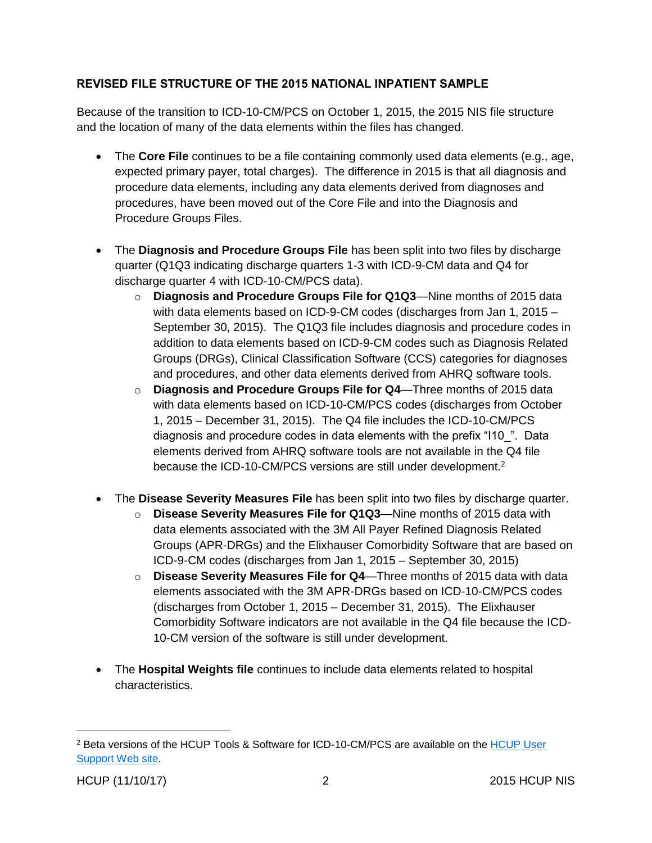#### <span id="page-3-0"></span>REVISED FILE STRUCTURE OF THE 2015 NATIONAL INPATIENT SAMPLE

Because of the transition to ICD-10-CM/PCS on October 1, 2015, the 2015 NIS file structure and the location of many of the data elements within the files has changed.

- The **Core File** continues to be a file containing commonly used data elements (e.g., age, expected primary payer, total charges). The difference in 2015 is that all diagnosis and procedure data elements, including any data elements derived from diagnoses and procedures, have been moved out of the Core File and into the Diagnosis and Procedure Groups Files.
- The **Diagnosis and Procedure Groups File** has been split into two files by discharge quarter (Q1Q3 indicating discharge quarters 1-3 with ICD-9-CM data and Q4 for discharge quarter 4 with ICD-10-CM/PCS data).
	- o **Diagnosis and Procedure Groups File for Q1Q3**—Nine months of 2015 data with data elements based on ICD-9-CM codes (discharges from Jan 1, 2015 – September 30, 2015). The Q1Q3 file includes diagnosis and procedure codes in addition to data elements based on ICD-9-CM codes such as Diagnosis Related Groups (DRGs), Clinical Classification Software (CCS) categories for diagnoses and procedures, and other data elements derived from AHRQ software tools.
	- o **Diagnosis and Procedure Groups File for Q4**—Three months of 2015 data with data elements based on ICD-10-CM/PCS codes (discharges from October 1, 2015 – December 31, 2015). The Q4 file includes the ICD-10-CM/PCS diagnosis and procedure codes in data elements with the prefix "I10\_". Data elements derived from AHRQ software tools are not available in the Q4 file because the ICD-10-CM/PCS versions are still under development.<sup>2</sup>
- The **Disease Severity Measures File** has been split into two files by discharge quarter.
	- o **Disease Severity Measures File for Q1Q3**—Nine months of 2015 data with data elements associated with the 3M All Payer Refined Diagnosis Related Groups (APR-DRGs) and the Elixhauser Comorbidity Software that are based on ICD-9-CM codes (discharges from Jan 1, 2015 – September 30, 2015)
	- o **Disease Severity Measures File for Q4**—Three months of 2015 data with data elements associated with the 3M APR-DRGs based on ICD-10-CM/PCS codes (discharges from October 1, 2015 – December 31, 2015). The Elixhauser Comorbidity Software indicators are not available in the Q4 file because the ICD-10-CM version of the software is still under development.
- The **Hospital Weights file** continues to include data elements related to hospital characteristics.

<sup>2</sup> Beta versions of the HCUP Tools & Software for ICD-10-CM/PCS are available on the [HCUP User](https://www.hcup-us.ahrq.gov/tools_software.jsp)  [Support Web site.](https://www.hcup-us.ahrq.gov/tools_software.jsp)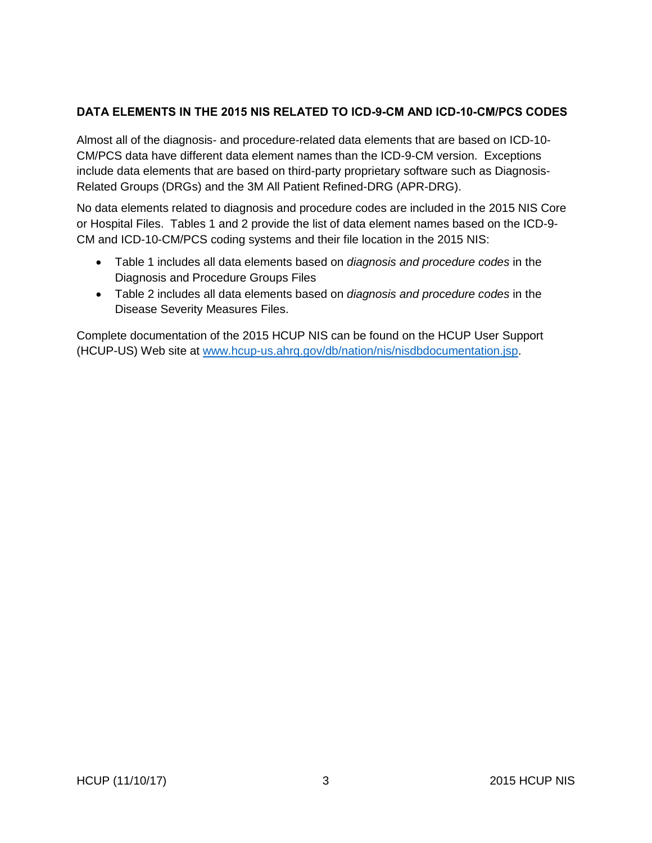### <span id="page-4-0"></span>DATA ELEMENTS IN THE 2015 NIS RELATED TO ICD-9-CM AND ICD-10-CM/PCS CODES

Almost all of the diagnosis- and procedure-related data elements that are based on ICD-10- CM/PCS data have different data element names than the ICD-9-CM version. Exceptions include data elements that are based on third-party proprietary software such as Diagnosis-Related Groups (DRGs) and the 3M All Patient Refined-DRG (APR-DRG).

No data elements related to diagnosis and procedure codes are included in the 2015 NIS Core or Hospital Files. Tables 1 and 2 provide the list of data element names based on the ICD-9- CM and ICD-10-CM/PCS coding systems and their file location in the 2015 NIS:

- Table 1 includes all data elements based on *diagnosis and procedure codes* in the Diagnosis and Procedure Groups Files
- Table 2 includes all data elements based on *diagnosis and procedure codes* in the Disease Severity Measures Files.

Complete documentation of the 2015 HCUP NIS can be found on the HCUP User Support (HCUP-US) Web site at [www.hcup-us.ahrq.gov/db/nation/nis/nisdbdocumentation.jsp.](http://www.hcup-us.ahrq.gov/db/nation/nis/nisdbdocumentation.jsp)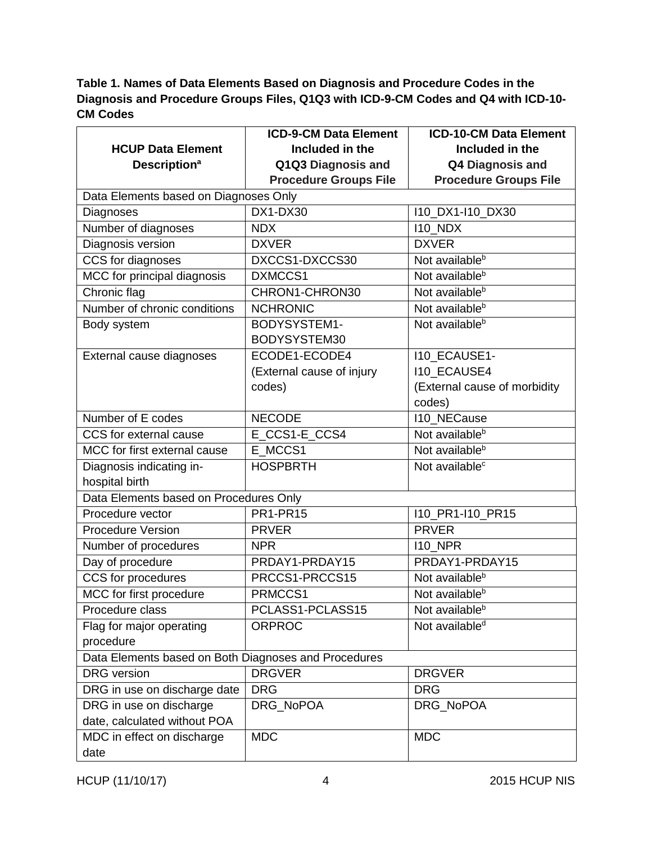# <span id="page-5-0"></span>**Table 1. Names of Data Elements Based on Diagnosis and Procedure Codes in the Diagnosis and Procedure Groups Files, Q1Q3 with ICD-9-CM Codes and Q4 with ICD-10- CM Codes**

|                                                      | <b>ICD-9-CM Data Element</b> | <b>ICD-10-CM Data Element</b> |  |  |
|------------------------------------------------------|------------------------------|-------------------------------|--|--|
| <b>HCUP Data Element</b>                             | Included in the              | Included in the               |  |  |
| <b>Description<sup>a</sup></b>                       | Q1Q3 Diagnosis and           | Q4 Diagnosis and              |  |  |
|                                                      | <b>Procedure Groups File</b> | <b>Procedure Groups File</b>  |  |  |
| Data Elements based on Diagnoses Only                |                              |                               |  |  |
| Diagnoses                                            | DX1-DX30                     | 110_DX1-110_DX30              |  |  |
| Number of diagnoses                                  | <b>NDX</b>                   | $110$ NDX                     |  |  |
| Diagnosis version                                    | <b>DXVER</b>                 | <b>DXVER</b>                  |  |  |
| CCS for diagnoses                                    | DXCCS1-DXCCS30               | Not available <sup>b</sup>    |  |  |
| MCC for principal diagnosis                          | DXMCCS1                      | Not available <sup>b</sup>    |  |  |
| Chronic flag                                         | CHRON1-CHRON30               | Not available <sup>b</sup>    |  |  |
| Number of chronic conditions                         | <b>NCHRONIC</b>              | Not available <sup>b</sup>    |  |  |
| Body system                                          | BODYSYSTEM1-                 | Not available <sup>b</sup>    |  |  |
|                                                      | BODYSYSTEM30                 |                               |  |  |
| External cause diagnoses                             | ECODE1-ECODE4                | I10_ECAUSE1-                  |  |  |
|                                                      | (External cause of injury    | <b>I10_ECAUSE4</b>            |  |  |
|                                                      | codes)                       | (External cause of morbidity  |  |  |
|                                                      |                              | codes)                        |  |  |
| Number of E codes                                    | <b>NECODE</b>                | <b>I10_NECause</b>            |  |  |
| CCS for external cause                               | E CCS1-E CCS4                | Not available <sup>b</sup>    |  |  |
| MCC for first external cause                         | E MCCS1                      | Not available <sup>b</sup>    |  |  |
| Diagnosis indicating in-                             | <b>HOSPBRTH</b>              | Not available <sup>c</sup>    |  |  |
| hospital birth                                       |                              |                               |  |  |
| Data Elements based on Procedures Only               |                              |                               |  |  |
| Procedure vector                                     | <b>PR1-PR15</b>              | I10_PR1-I10_PR15              |  |  |
| <b>Procedure Version</b>                             | <b>PRVER</b>                 | <b>PRVER</b>                  |  |  |
| Number of procedures                                 | <b>NPR</b>                   | <b>I10_NPR</b>                |  |  |
| Day of procedure                                     | PRDAY1-PRDAY15               | PRDAY1-PRDAY15                |  |  |
| CCS for procedures                                   | PRCCS1-PRCCS15               | Not available <sup>b</sup>    |  |  |
| MCC for first procedure                              | PRMCCS1                      | Not available <sup>b</sup>    |  |  |
| Procedure class                                      | PCLASS1-PCLASS15             | Not available <sup>b</sup>    |  |  |
| Flag for major operating                             | <b>ORPROC</b>                | Not available <sup>d</sup>    |  |  |
| procedure                                            |                              |                               |  |  |
| Data Elements based on Both Diagnoses and Procedures |                              |                               |  |  |
| <b>DRG</b> version                                   | <b>DRGVER</b>                | <b>DRGVER</b>                 |  |  |
| DRG in use on discharge date                         | <b>DRG</b>                   | <b>DRG</b>                    |  |  |
| DRG in use on discharge                              | DRG NoPOA                    | DRG_NoPOA                     |  |  |
| date, calculated without POA                         |                              |                               |  |  |
| MDC in effect on discharge                           | <b>MDC</b>                   | <b>MDC</b>                    |  |  |
| date                                                 |                              |                               |  |  |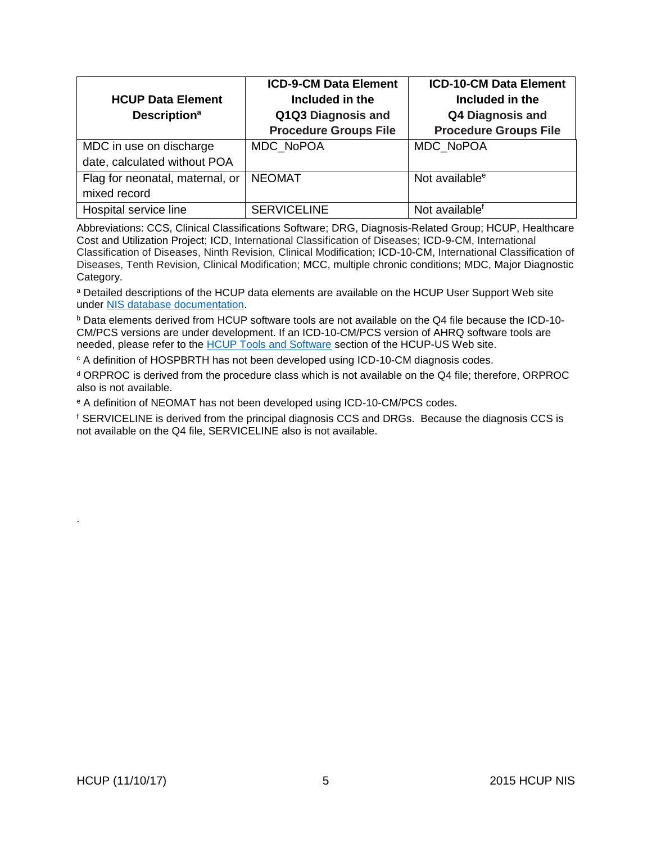|                                 | <b>ICD-9-CM Data Element</b> | <b>ICD-10-CM Data Element</b> |
|---------------------------------|------------------------------|-------------------------------|
| <b>HCUP Data Element</b>        | Included in the              | Included in the               |
| <b>Description<sup>a</sup></b>  | Q1Q3 Diagnosis and           | <b>Q4 Diagnosis and</b>       |
|                                 | <b>Procedure Groups File</b> | <b>Procedure Groups File</b>  |
| MDC in use on discharge         | MDC NoPOA                    | MDC NoPOA                     |
| date, calculated without POA    |                              |                               |
| Flag for neonatal, maternal, or | <b>NEOMAT</b>                | Not available <sup>e</sup>    |
| mixed record                    |                              |                               |
| Hospital service line           | <b>SERVICELINE</b>           | Not available <sup>f</sup>    |

Abbreviations: CCS, Clinical Classifications Software; DRG, Diagnosis-Related Group; HCUP, Healthcare Cost and Utilization Project; ICD, International Classification of Diseases; ICD-9-CM, International Classification of Diseases, Ninth Revision, Clinical Modification; ICD-10-CM, International Classification of Diseases, Tenth Revision, Clinical Modification; MCC, multiple chronic conditions; MDC, Major Diagnostic Category.

a Detailed descriptions of the HCUP data elements are available on the HCUP User Support Web site under [NIS database documentation.](https://www.hcup-us.ahrq.gov/db/nation/nis/nisdbdocumentation.jsp)

<sup>b</sup> Data elements derived from HCUP software tools are not available on the Q4 file because the ICD-10- CM/PCS versions are under development. If an ICD-10-CM/PCS version of AHRQ software tools are needed, please refer to the HCUP [Tools and Software](https://www.hcup-us.ahrq.gov/tools_software.jsp) section of the HCUP-US Web site.

<sup>c</sup> A definition of HOSPBRTH has not been developed using ICD-10-CM diagnosis codes.

<sup>d</sup> ORPROC is derived from the procedure class which is not available on the Q4 file; therefore, ORPROC also is not available.

<sup>e</sup> A definition of NEOMAT has not been developed using ICD-10-CM/PCS codes.

 $f$  SERVICELINE is derived from the principal diagnosis CCS and DRGs. Because the diagnosis CCS is not available on the Q4 file, SERVICELINE also is not available.

.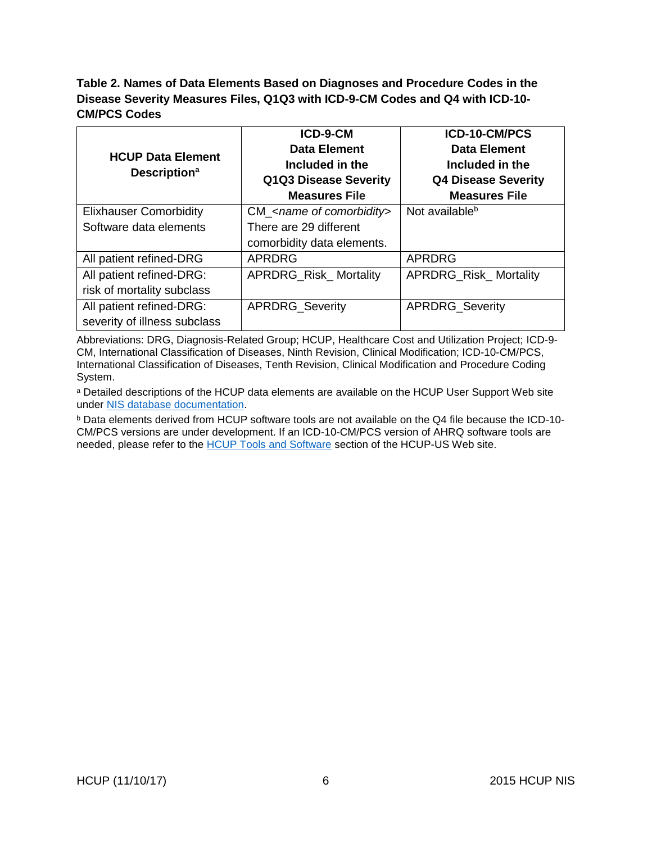### <span id="page-7-0"></span>**Table 2. Names of Data Elements Based on Diagnoses and Procedure Codes in the Disease Severity Measures Files, Q1Q3 with ICD-9-CM Codes and Q4 with ICD-10- CM/PCS Codes**

|                                                             | ICD-9-CM                     | ICD-10-CM/PCS                |
|-------------------------------------------------------------|------------------------------|------------------------------|
| <b>HCUP Data Element</b><br><b>Description</b> <sup>a</sup> | <b>Data Element</b>          | <b>Data Element</b>          |
|                                                             | Included in the              | Included in the              |
|                                                             | Q1Q3 Disease Severity        | <b>Q4 Disease Severity</b>   |
|                                                             | <b>Measures File</b>         | <b>Measures File</b>         |
| <b>Elixhauser Comorbidity</b>                               | $CM$ < name of comorbidity > | Not available <sup>b</sup>   |
| Software data elements                                      | There are 29 different       |                              |
|                                                             | comorbidity data elements.   |                              |
| All patient refined-DRG                                     | <b>APRDRG</b>                | <b>APRDRG</b>                |
| All patient refined-DRG:                                    | <b>APRDRG_Risk_Mortality</b> | <b>APRDRG_Risk_Mortality</b> |
| risk of mortality subclass                                  |                              |                              |
| All patient refined-DRG:                                    | <b>APRDRG_Severity</b>       | APRDRG_Severity              |
| severity of illness subclass                                |                              |                              |

Abbreviations: DRG, Diagnosis-Related Group; HCUP, Healthcare Cost and Utilization Project; ICD-9- CM, International Classification of Diseases, Ninth Revision, Clinical Modification; ICD-10-CM/PCS, International Classification of Diseases, Tenth Revision, Clinical Modification and Procedure Coding System.

a Detailed descriptions of the HCUP data elements are available on the HCUP User Support Web site under [NIS database documentation.](https://www.hcup-us.ahrq.gov/db/nation/nis/nisdbdocumentation.jsp)

<sup>b</sup> Data elements derived from HCUP software tools are not available on the Q4 file because the ICD-10- CM/PCS versions are under development. If an ICD-10-CM/PCS version of AHRQ software tools are needed, please refer to the **HCUP Tools and Software** section of the HCUP-US Web site.